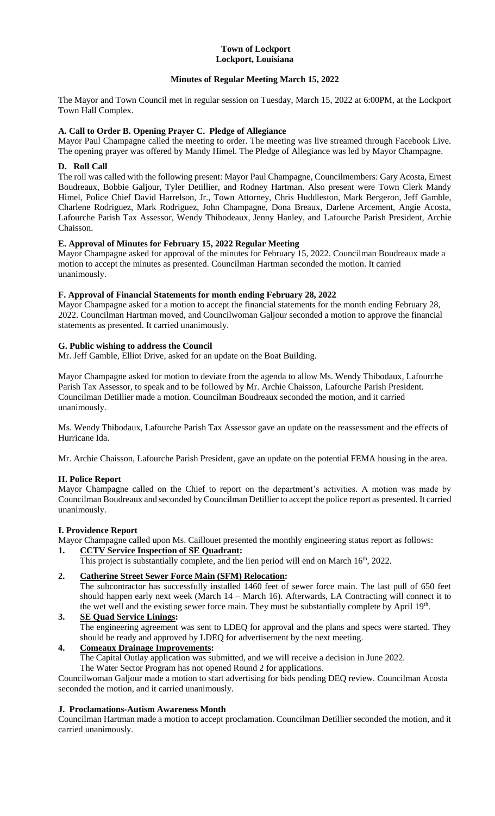#### **Town of Lockport Lockport, Louisiana**

## **Minutes of Regular Meeting March 15, 2022**

The Mayor and Town Council met in regular session on Tuesday, March 15, 2022 at 6:00PM, at the Lockport Town Hall Complex.

## **A. Call to Order B. Opening Prayer C. Pledge of Allegiance**

Mayor Paul Champagne called the meeting to order. The meeting was live streamed through Facebook Live. The opening prayer was offered by Mandy Himel. The Pledge of Allegiance was led by Mayor Champagne.

#### **D. Roll Call**

The roll was called with the following present: Mayor Paul Champagne, Councilmembers: Gary Acosta, Ernest Boudreaux, Bobbie Galjour, Tyler Detillier, and Rodney Hartman. Also present were Town Clerk Mandy Himel, Police Chief David Harrelson, Jr., Town Attorney, Chris Huddleston, Mark Bergeron, Jeff Gamble, Charlene Rodriguez, Mark Rodriguez, John Champagne, Dona Breaux, Darlene Arcement, Angie Acosta, Lafourche Parish Tax Assessor, Wendy Thibodeaux, Jenny Hanley, and Lafourche Parish President, Archie Chaisson.

## **E. Approval of Minutes for February 15, 2022 Regular Meeting**

Mayor Champagne asked for approval of the minutes for February 15, 2022. Councilman Boudreaux made a motion to accept the minutes as presented. Councilman Hartman seconded the motion. It carried unanimously.

## **F. Approval of Financial Statements for month ending February 28, 2022**

Mayor Champagne asked for a motion to accept the financial statements for the month ending February 28, 2022. Councilman Hartman moved, and Councilwoman Galjour seconded a motion to approve the financial statements as presented. It carried unanimously.

## **G. Public wishing to address the Council**

Mr. Jeff Gamble, Elliot Drive, asked for an update on the Boat Building.

Mayor Champagne asked for motion to deviate from the agenda to allow Ms. Wendy Thibodaux, Lafourche Parish Tax Assessor, to speak and to be followed by Mr. Archie Chaisson, Lafourche Parish President. Councilman Detillier made a motion. Councilman Boudreaux seconded the motion, and it carried unanimously.

Ms. Wendy Thibodaux, Lafourche Parish Tax Assessor gave an update on the reassessment and the effects of Hurricane Ida.

Mr. Archie Chaisson, Lafourche Parish President, gave an update on the potential FEMA housing in the area.

#### **H. Police Report**

Mayor Champagne called on the Chief to report on the department's activities. A motion was made by Councilman Boudreaux and seconded by Councilman Detillier to accept the police report as presented. It carried unanimously.

#### **I. Providence Report**

Mayor Champagne called upon Ms. Caillouet presented the monthly engineering status report as follows:

## **1. CCTV Service Inspection of SE Quadrant:**

This project is substantially complete, and the lien period will end on March 16<sup>th</sup>, 2022.

## **2. Catherine Street Sewer Force Main (SFM) Relocation:**

The subcontractor has successfully installed 1460 feet of sewer force main. The last pull of 650 feet should happen early next week (March 14 – March 16). Afterwards, LA Contracting will connect it to the wet well and the existing sewer force main. They must be substantially complete by April 19<sup>th</sup>.

#### **3. SE Quad Service Linings:** The engineering agreement was sent to LDEQ for approval and the plans and specs were started. They should be ready and approved by LDEQ for advertisement by the next meeting.

# **4. Comeaux Drainage Improvements:**

The Capital Outlay application was submitted, and we will receive a decision in June 2022.

The Water Sector Program has not opened Round 2 for applications.

Councilwoman Galjour made a motion to start advertising for bids pending DEQ review. Councilman Acosta seconded the motion, and it carried unanimously.

#### **J. Proclamations-Autism Awareness Month**

Councilman Hartman made a motion to accept proclamation. Councilman Detillier seconded the motion, and it carried unanimously.